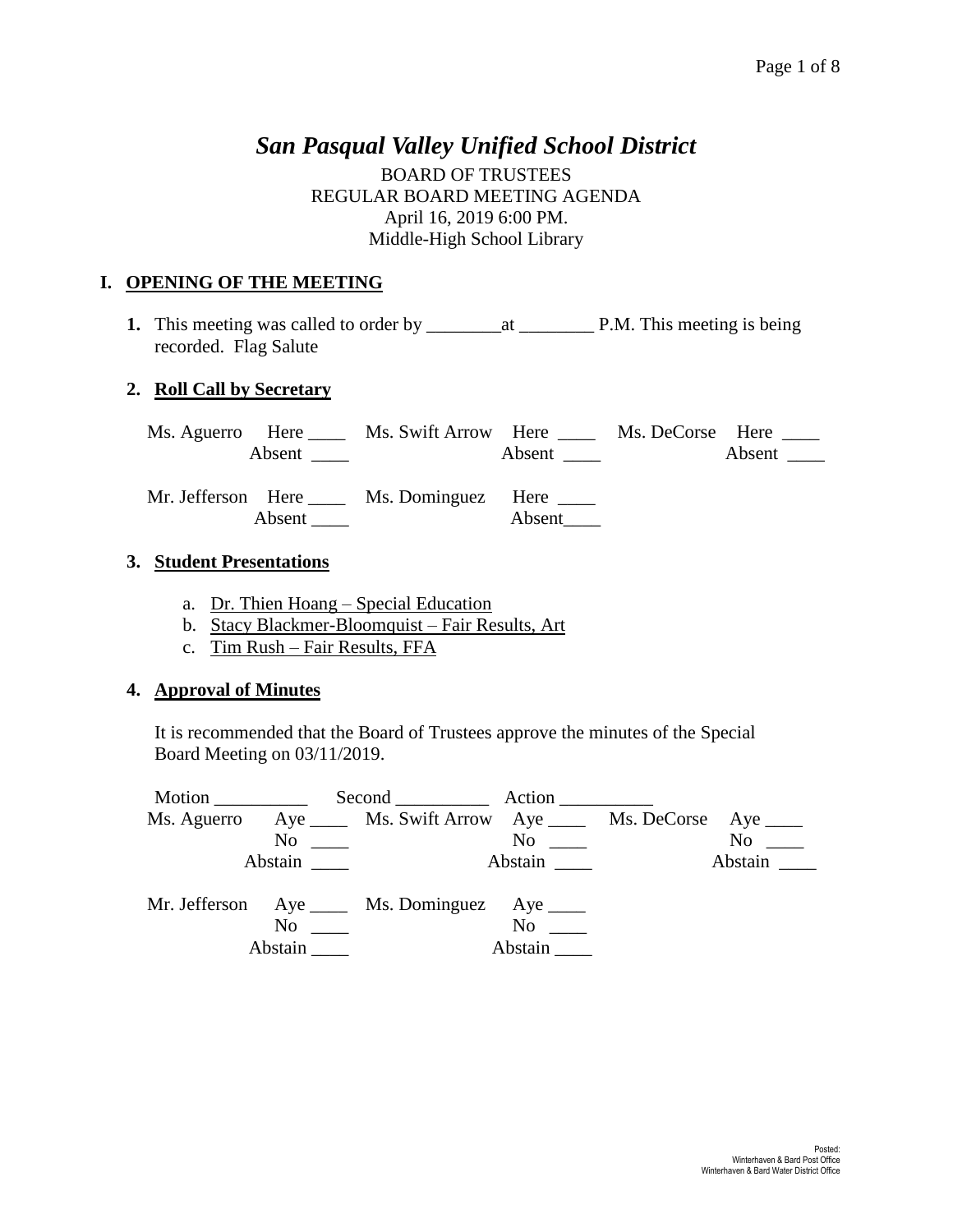# *San Pasqual Valley Unified School District*

BOARD OF TRUSTEES REGULAR BOARD MEETING AGENDA April 16, 2019 6:00 PM. Middle-High School Library

# **I. OPENING OF THE MEETING**

**1.** This meeting was called to order by \_\_\_\_\_\_\_\_at \_\_\_\_\_\_\_\_ P.M. This meeting is being recorded. Flag Salute

# **2. Roll Call by Secretary**

| Ms. Aguerro Here Ms. Swift Arrow Here Ms. DeCorse Here ___<br>Absent $\qquad \qquad$ | Absent | Absent $\_\_$ |
|--------------------------------------------------------------------------------------|--------|---------------|
| Mr. Jefferson Here Ms. Dominguez Here _____<br>Absent                                |        |               |

# **3. Student Presentations**

- a. Dr. Thien Hoang Special Education
- b. Stacy Blackmer-Bloomquist Fair Results, Art
- c. Tim Rush Fair Results, FFA

# **4. Approval of Minutes**

It is recommended that the Board of Trustees approve the minutes of the Special Board Meeting on 03/11/2019.

| Ms. Aguerro | Aye ______ Ms. Swift Arrow Aye _____ Ms. DeCorse Aye _____ |                                           |           |
|-------------|------------------------------------------------------------|-------------------------------------------|-----------|
|             | $\overline{\text{No}}$                                     | $\overline{N}$ o $\overline{\phantom{0}}$ | $No \t —$ |
|             |                                                            |                                           | Abstain   |
|             | Mr. Jefferson Aye _____ Ms. Dominguez Aye _____            |                                           |           |
|             | $\overline{N}$ o $\overline{\phantom{nnn}}$                | No                                        |           |
|             |                                                            | Abstain                                   |           |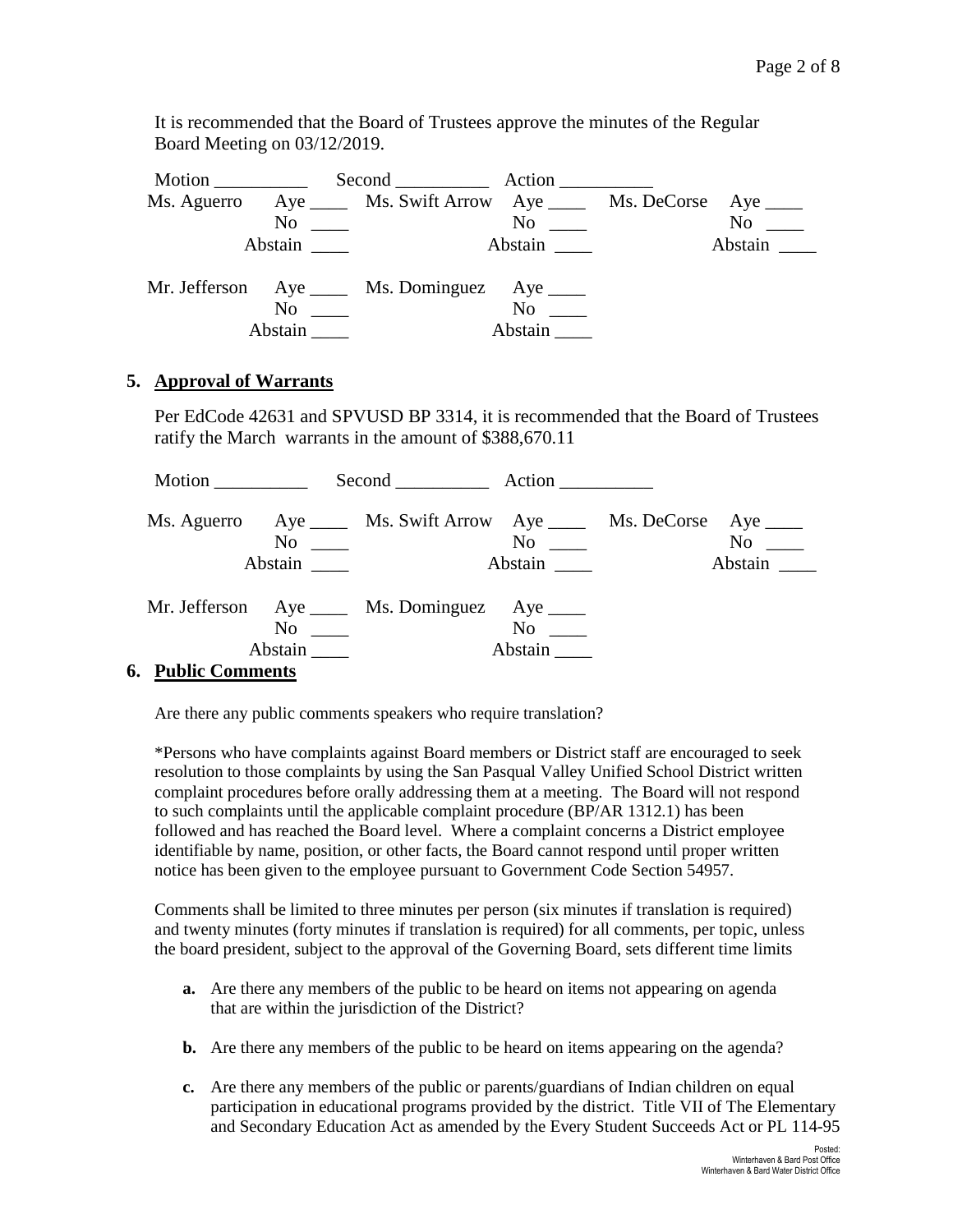It is recommended that the Board of Trustees approve the minutes of the Regular Board Meeting on 03/12/2019.

| Motion |         |                                                                                             |                                             |           |
|--------|---------|---------------------------------------------------------------------------------------------|---------------------------------------------|-----------|
|        |         | Ms. Aguerro Aye Ms. Swift Arrow Aye Ms. DeCorse Aye Ms.                                     |                                             |           |
|        |         | $\overline{\text{No}}$                                                                      | $\overline{N}$ o $\overline{\phantom{nnn}}$ | $No \ \_$ |
|        | Abstain |                                                                                             | Abstain                                     | Abstain   |
|        |         | Mr. Jefferson Aye _____ Ms. Dominguez Aye _____<br>$\overline{N}$ $\overline{\phantom{nn}}$ | $No \t —$<br>Abstain                        |           |

### **5. Approval of Warrants**

Per EdCode 42631 and SPVUSD BP 3314, it is recommended that the Board of Trustees ratify the March warrants in the amount of \$388,670.11

| Motion                                                                                                  |                      | Second Action                                                                                                           |                                 |                      |
|---------------------------------------------------------------------------------------------------------|----------------------|-------------------------------------------------------------------------------------------------------------------------|---------------------------------|----------------------|
|                                                                                                         | Abstain              | Ms. Aguerro Aye _____ Ms. Swift Arrow Aye _____ Ms. DeCorse Aye ____<br>$\overline{\text{No}}$ $\overline{\phantom{a}}$ | $\mathrm{No}$ $\_\_$<br>Abstain | $No \t —$<br>Abstain |
| $\mathbf{D}$ . $\mathbf{L}$ $\mathbf{L}$ $\alpha$ $\alpha$ $\alpha$ $\alpha$ $\alpha$ $\alpha$ $\alpha$ | $No \ \_$<br>Abstain | Mr. Jefferson Aye _____ Ms. Dominguez Aye _____                                                                         | $No \t —$<br>Abstain            |                      |

### **6. Public Comments**

Are there any public comments speakers who require translation?

\*Persons who have complaints against Board members or District staff are encouraged to seek resolution to those complaints by using the San Pasqual Valley Unified School District written complaint procedures before orally addressing them at a meeting. The Board will not respond to such complaints until the applicable complaint procedure (BP/AR 1312.1) has been followed and has reached the Board level. Where a complaint concerns a District employee identifiable by name, position, or other facts, the Board cannot respond until proper written notice has been given to the employee pursuant to Government Code Section 54957.

Comments shall be limited to three minutes per person (six minutes if translation is required) and twenty minutes (forty minutes if translation is required) for all comments, per topic, unless the board president, subject to the approval of the Governing Board, sets different time limits

- **a.** Are there any members of the public to be heard on items not appearing on agenda that are within the jurisdiction of the District?
- **b.** Are there any members of the public to be heard on items appearing on the agenda?
- **c.** Are there any members of the public or parents/guardians of Indian children on equal participation in educational programs provided by the district. Title VII of The Elementary and Secondary Education Act as amended by the Every Student Succeeds Act or PL 114-95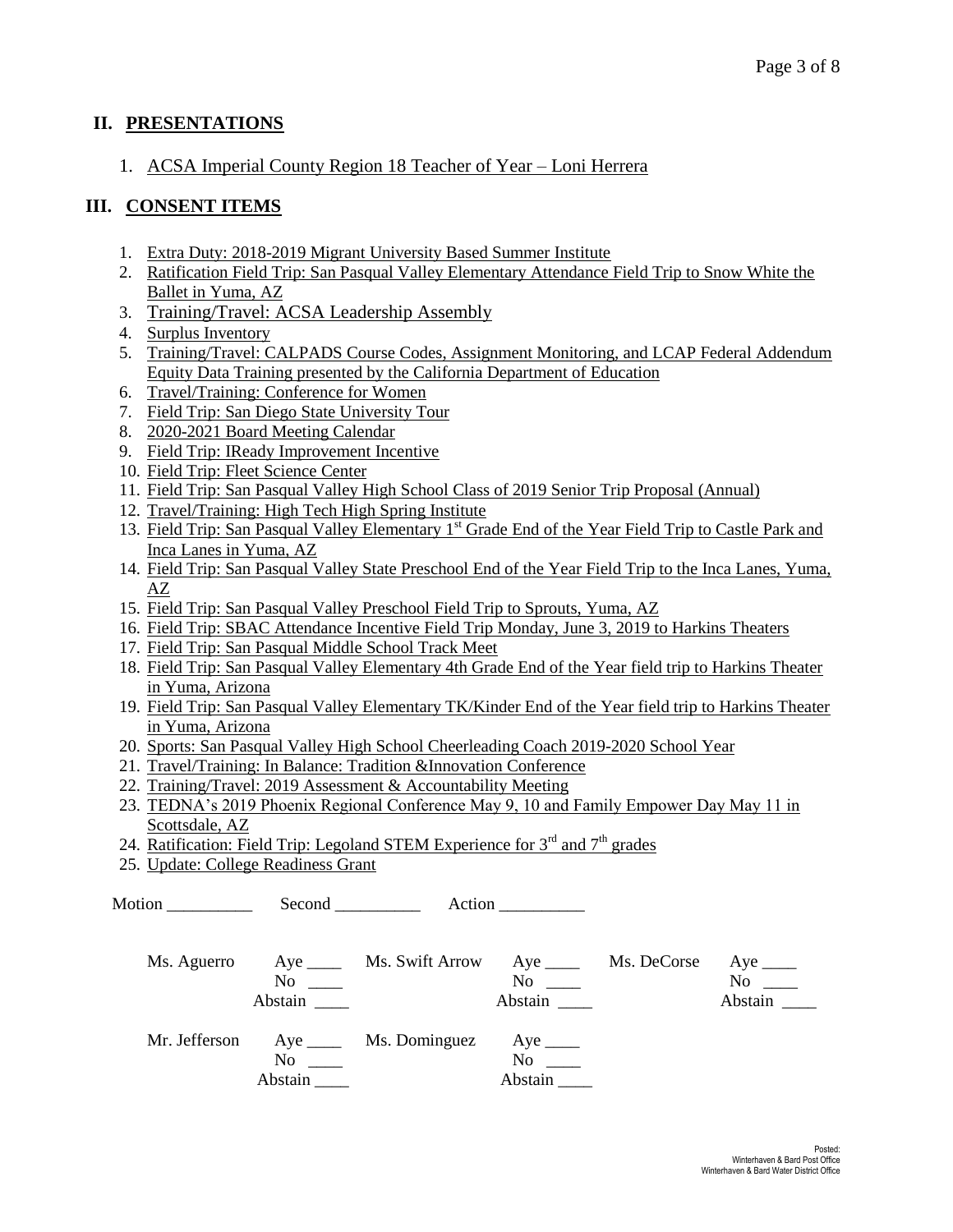### **II. PRESENTATIONS**

## 1. ACSA Imperial County Region 18 Teacher of Year – Loni Herrera

## **III. CONSENT ITEMS**

- 1. Extra Duty: 2018-2019 Migrant University Based Summer Institute
- 2. Ratification Field Trip: San Pasqual Valley Elementary Attendance Field Trip to Snow White the Ballet in Yuma, AZ
- 3. Training/Travel: ACSA Leadership Assembly
- 4. Surplus Inventory
- 5. Training/Travel: CALPADS Course Codes, Assignment Monitoring, and LCAP Federal Addendum Equity Data Training presented by the California Department of Education
- 6. Travel/Training: Conference for Women
- 7. Field Trip: San Diego State University Tour
- 8. 2020-2021 Board Meeting Calendar
- 9. Field Trip: IReady Improvement Incentive
- 10. Field Trip: Fleet Science Center
- 11. Field Trip: San Pasqual Valley High School Class of 2019 Senior Trip Proposal (Annual)
- 12. Travel/Training: High Tech High Spring Institute
- 13. Field Trip: San Pasqual Valley Elementary 1<sup>st</sup> Grade End of the Year Field Trip to Castle Park and Inca Lanes in Yuma, AZ
- 14. Field Trip: San Pasqual Valley State Preschool End of the Year Field Trip to the Inca Lanes, Yuma, AZ
- 15. Field Trip: San Pasqual Valley Preschool Field Trip to Sprouts, Yuma, AZ
- 16. Field Trip: SBAC Attendance Incentive Field Trip Monday, June 3, 2019 to Harkins Theaters
- 17. Field Trip: San Pasqual Middle School Track Meet
- 18. Field Trip: San Pasqual Valley Elementary 4th Grade End of the Year field trip to Harkins Theater in Yuma, Arizona
- 19. Field Trip: San Pasqual Valley Elementary TK/Kinder End of the Year field trip to Harkins Theater in Yuma, Arizona
- 20. Sports: San Pasqual Valley High School Cheerleading Coach 2019-2020 School Year
- 21. Travel/Training: In Balance: Tradition &Innovation Conference
- 22. Training/Travel: 2019 Assessment & Accountability Meeting
- 23. TEDNA's 2019 Phoenix Regional Conference May 9, 10 and Family Empower Day May 11 in Scottsdale, AZ
- 24. Ratification: Field Trip: Legoland STEM Experience for  $3^{rd}$  and  $7^{th}$  grades
- 25. Update: College Readiness Grant

Motion Second Action

| Ms. Aguerro   | No<br>Abstain                                       | Aye _________ Ms. Swift Arrow | $Aye$ <sub>_____</sub><br>N <sub>0</sub><br>Abstain | Ms. DeCorse | $Aye$ <sub>_____</sub><br>No<br>Abstain |
|---------------|-----------------------------------------------------|-------------------------------|-----------------------------------------------------|-------------|-----------------------------------------|
| Mr. Jefferson | $Aye$ <sub>_____</sub><br>N <sub>0</sub><br>Abstain | Ms. Dominguez                 | Aye $\_\_$<br>N <sub>0</sub><br>Abstain             |             |                                         |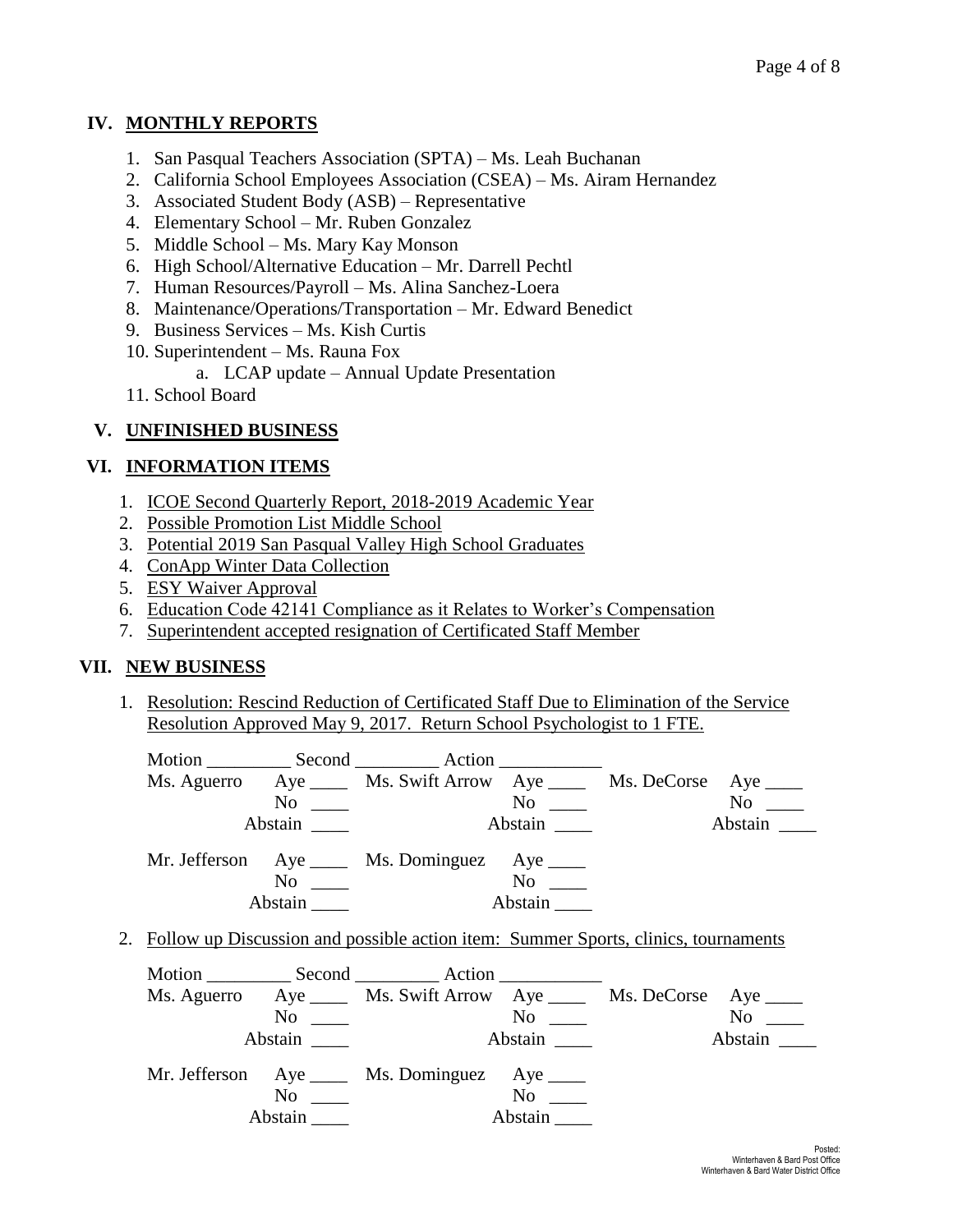# **IV. MONTHLY REPORTS**

- 1. San Pasqual Teachers Association (SPTA) Ms. Leah Buchanan
- 2. California School Employees Association (CSEA) Ms. Airam Hernandez
- 3. Associated Student Body (ASB) Representative
- 4. Elementary School Mr. Ruben Gonzalez
- 5. Middle School Ms. Mary Kay Monson
- 6. High School/Alternative Education Mr. Darrell Pechtl
- 7. Human Resources/Payroll Ms. Alina Sanchez-Loera
- 8. Maintenance/Operations/Transportation Mr. Edward Benedict
- 9. Business Services Ms. Kish Curtis
- 10. Superintendent Ms. Rauna Fox
	- a. LCAP update Annual Update Presentation
- 11. School Board

# **V. UNFINISHED BUSINESS**

# **VI. INFORMATION ITEMS**

- 1. ICOE Second Quarterly Report, 2018-2019 Academic Year
- 2. Possible Promotion List Middle School
- 3. Potential 2019 San Pasqual Valley High School Graduates
- 4. ConApp Winter Data Collection
- 5. ESY Waiver Approval
- 6. Education Code 42141 Compliance as it Relates to Worker's Compensation
- 7. Superintendent accepted resignation of Certificated Staff Member

# **VII. NEW BUSINESS**

1. Resolution: Rescind Reduction of Certificated Staff Due to Elimination of the Service Resolution Approved May 9, 2017. Return School Psychologist to 1 FTE.

|  |               | Motion Second Action                                                                  |               |                                                                                                                                                                                                                               |
|--|---------------|---------------------------------------------------------------------------------------|---------------|-------------------------------------------------------------------------------------------------------------------------------------------------------------------------------------------------------------------------------|
|  |               | Ms. Aguerro Aye _____ Ms. Swift Arrow Aye _____ Ms. DeCorse Aye ____                  |               |                                                                                                                                                                                                                               |
|  | $No \ \_$     |                                                                                       | No            | No note that the set of the set of the set of the set of the set of the set of the set of the set of the set of the set of the set of the set of the set of the set of the set of the set of the set of the set of the set of |
|  | Abstain       |                                                                                       | Abstain       | Abstain                                                                                                                                                                                                                       |
|  | No<br>Abstain | Mr. Jefferson Aye ____ Ms. Dominguez Aye ____                                         | No<br>Abstain |                                                                                                                                                                                                                               |
|  |               | 2. Follow up Discussion and possible action item: Summer Sports, clinics, tournaments |               |                                                                                                                                                                                                                               |

|         | Ms. Aguerro Aye _____ Ms. Swift Arrow Aye ______ Ms. DeCorse Aye _____ |                                           |         |
|---------|------------------------------------------------------------------------|-------------------------------------------|---------|
|         | $\overline{\text{No}}$ $\overline{\phantom{0}}$                        | $\overline{N}$ o $\overline{\phantom{0}}$ | $No \_$ |
| Abstain |                                                                        | Abstain                                   | Abstain |
|         | Mr. Jefferson Aye _____ Ms. Dominguez Aye _____                        |                                           |         |
|         | $\overline{N}$ $\overline{N}$                                          | $No \_\_$                                 |         |
|         | <b>Abstain</b>                                                         | Abstain                                   |         |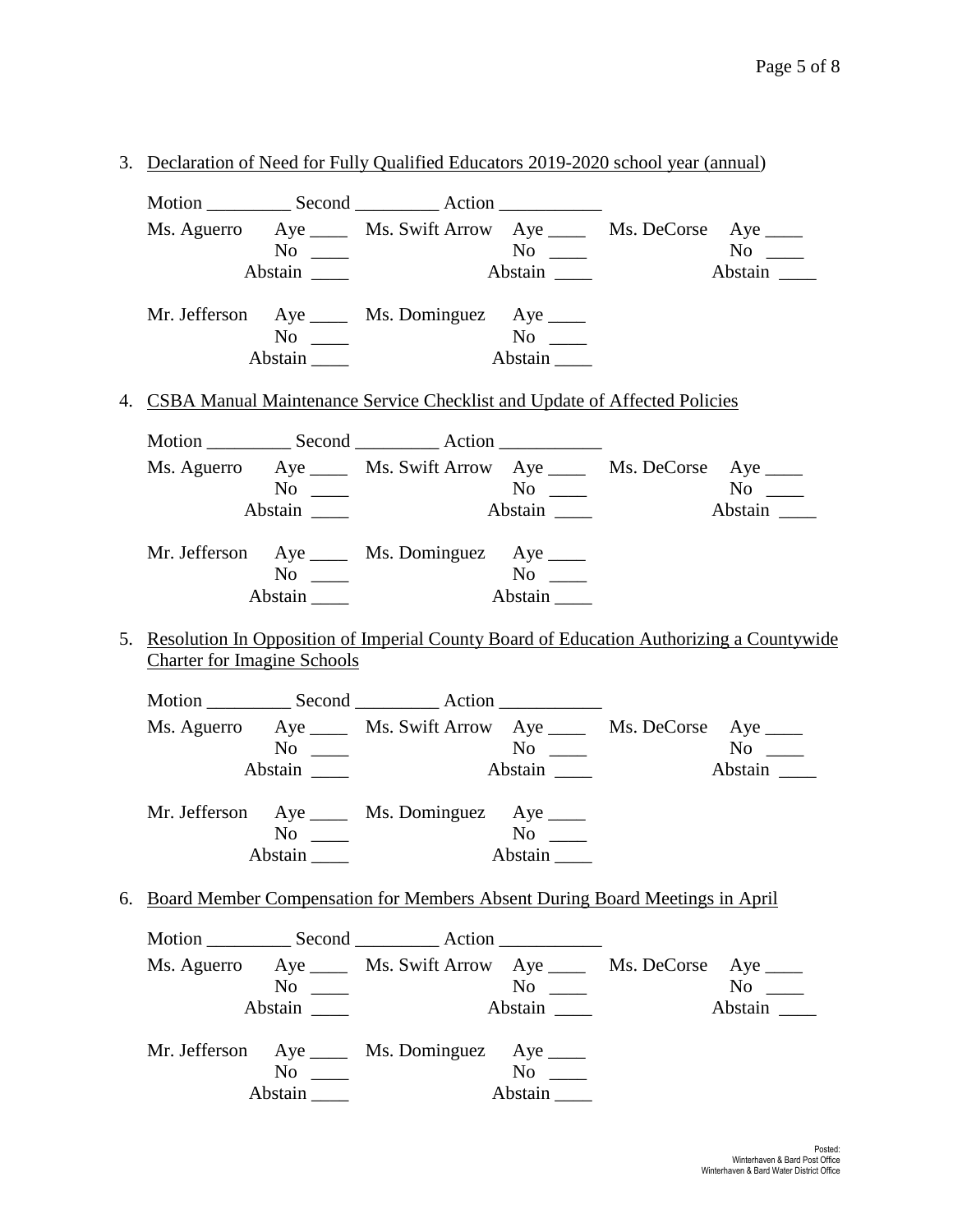|                                    |                              | 3. Declaration of Need for Fully Qualified Educators 2019-2020 school year (annual)        |                                           |           |
|------------------------------------|------------------------------|--------------------------------------------------------------------------------------------|-------------------------------------------|-----------|
|                                    |                              |                                                                                            |                                           |           |
|                                    |                              | Ms. Aguerro Aye _____ Ms. Swift Arrow Aye _____ Ms. DeCorse Aye ____                       |                                           |           |
|                                    | $No \_\_$                    |                                                                                            |                                           |           |
|                                    | Abstain _______              |                                                                                            |                                           |           |
|                                    |                              | Mr. Jefferson Aye _____ Ms. Dominguez Aye _____                                            |                                           |           |
|                                    | $No \ \_$                    |                                                                                            | No<br>Abstain                             |           |
|                                    | $Abstain$ <sub>_____</sub>   |                                                                                            |                                           |           |
|                                    |                              | 4. CSBA Manual Maintenance Service Checklist and Update of Affected Policies               |                                           |           |
|                                    |                              |                                                                                            |                                           |           |
|                                    |                              | Ms. Aguerro Aye _____ Ms. Swift Arrow Aye _____ Ms. DeCorse Aye ____                       |                                           |           |
|                                    | $No \ \_$<br>Abstain _______ |                                                                                            |                                           |           |
|                                    |                              |                                                                                            |                                           | Abstain   |
|                                    |                              | Mr. Jefferson Aye _____ Ms. Dominguez Aye _____                                            |                                           |           |
|                                    | $No \ \_$                    |                                                                                            |                                           |           |
|                                    | Abstain $\_\_\_\_\$          |                                                                                            | Abstain                                   |           |
|                                    |                              | 5. Resolution In Opposition of Imperial County Board of Education Authorizing a Countywide |                                           |           |
| <b>Charter for Imagine Schools</b> |                              |                                                                                            |                                           |           |
|                                    |                              |                                                                                            |                                           |           |
|                                    |                              | Ms. Aguerro Aye _____ Ms. Swift Arrow Aye _____ Ms. DeCorse Aye ____                       |                                           |           |
|                                    | $No \ \_$                    |                                                                                            | $\overline{N_0}$ $\overline{\phantom{0}}$ |           |
|                                    | Abstain _______              |                                                                                            |                                           |           |
|                                    |                              | Mr. Jefferson Aye _____ Ms. Dominguez Aye ____                                             |                                           |           |
|                                    | $No \ \_$                    |                                                                                            | $No \ \_$                                 |           |
|                                    | Abstain                      | Abstain                                                                                    |                                           |           |
|                                    |                              | 6. Board Member Compensation for Members Absent During Board Meetings in April             |                                           |           |
|                                    |                              | Motion ________________ Second ________________ Action _________________________           |                                           |           |
|                                    |                              | Ms. Aguerro Aye _____ Ms. Swift Arrow Aye _____ Ms. DeCorse Aye ____                       |                                           |           |
|                                    | $No \ \_$                    |                                                                                            | $No \ \_$                                 | $No \ \_$ |
|                                    | Abstain                      |                                                                                            | Abstain                                   | Abstain   |
|                                    |                              | Mr. Jefferson Aye _____ Ms. Dominguez Aye ____                                             |                                           |           |
|                                    | $No \ \_$                    |                                                                                            | $No \ \_$                                 |           |
|                                    | Abstain                      |                                                                                            | Abstain                                   |           |
|                                    |                              |                                                                                            |                                           |           |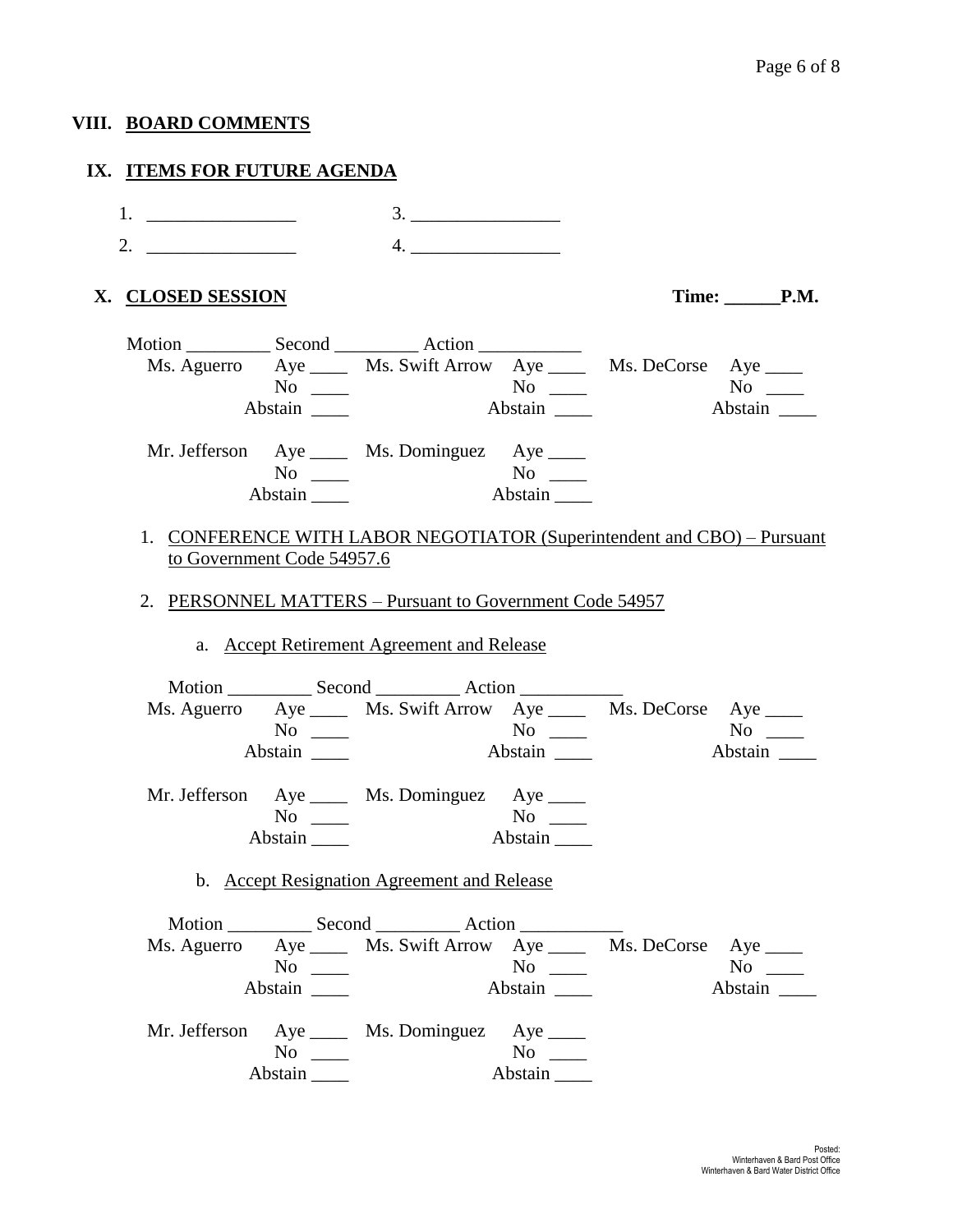### **VIII. BOARD COMMENTS**

#### **IX. ITEMS FOR FUTURE AGENDA**

1. \_\_\_\_\_\_\_\_\_\_\_\_\_\_\_\_ 3. \_\_\_\_\_\_\_\_\_\_\_\_\_\_\_\_ 2.  $\frac{4}{2}$ 

#### **X. CLOSED SESSION Time: \_\_\_\_\_\_P.M.**

|             |                | Motion Second Action                                         |                                                               |
|-------------|----------------|--------------------------------------------------------------|---------------------------------------------------------------|
| Ms. Aguerro |                |                                                              | Aye _______ Ms. Swift Arrow Aye _______ Ms. DeCorse Aye _____ |
|             |                | $No \ \_$<br>$\overline{\text{No}}$ $\overline{\phantom{0}}$ | N <sub>0</sub>                                                |
|             | Abstain        | Abstain                                                      | Abstain                                                       |
|             |                | Mr. Jefferson Aye ____ Ms. Dominguez Aye ____                |                                                               |
|             | N <sub>0</sub> | $\rm No$                                                     |                                                               |
|             | Abstain        | Abstain                                                      |                                                               |

## 1. CONFERENCE WITH LABOR NEGOTIATOR (Superintendent and CBO) – Pursuant to Government Code 54957.6

2. PERSONNEL MATTERS – Pursuant to Government Code 54957

#### a. Accept Retirement Agreement and Release

| Ms. Aguerro Aye ______ Ms. Swift Arrow Aye ______ Ms. DeCorse Aye _____ |                         |         |         |           |
|-------------------------------------------------------------------------|-------------------------|---------|---------|-----------|
| $No \ \_$                                                               |                         |         |         | $No \ \_$ |
| Abstain                                                                 | Abstain _               |         | Abstain |           |
| Mr. Jefferson Aye ____ Ms. Dominguez Aye ____                           |                         |         |         |           |
| $No \_$                                                                 |                         |         |         |           |
| Abstain                                                                 |                         | Abstain |         |           |
| b. Accept Resignation Agreement and Release                             |                         |         |         |           |
| Ms. Aguerro Aye ______ Ms. Swift Arrow Aye ______ Ms. DeCorse Aye _____ |                         |         |         |           |
| $No \_$                                                                 |                         |         |         |           |
| Abstain                                                                 | $\Delta \text{b}$ stain |         |         | Abstain   |
| Mr. Jefferson Aye _____ Ms. Dominguez Aye _____                         |                         |         |         |           |
| $No \ \_$                                                               |                         |         |         |           |
|                                                                         |                         | Abstain |         |           |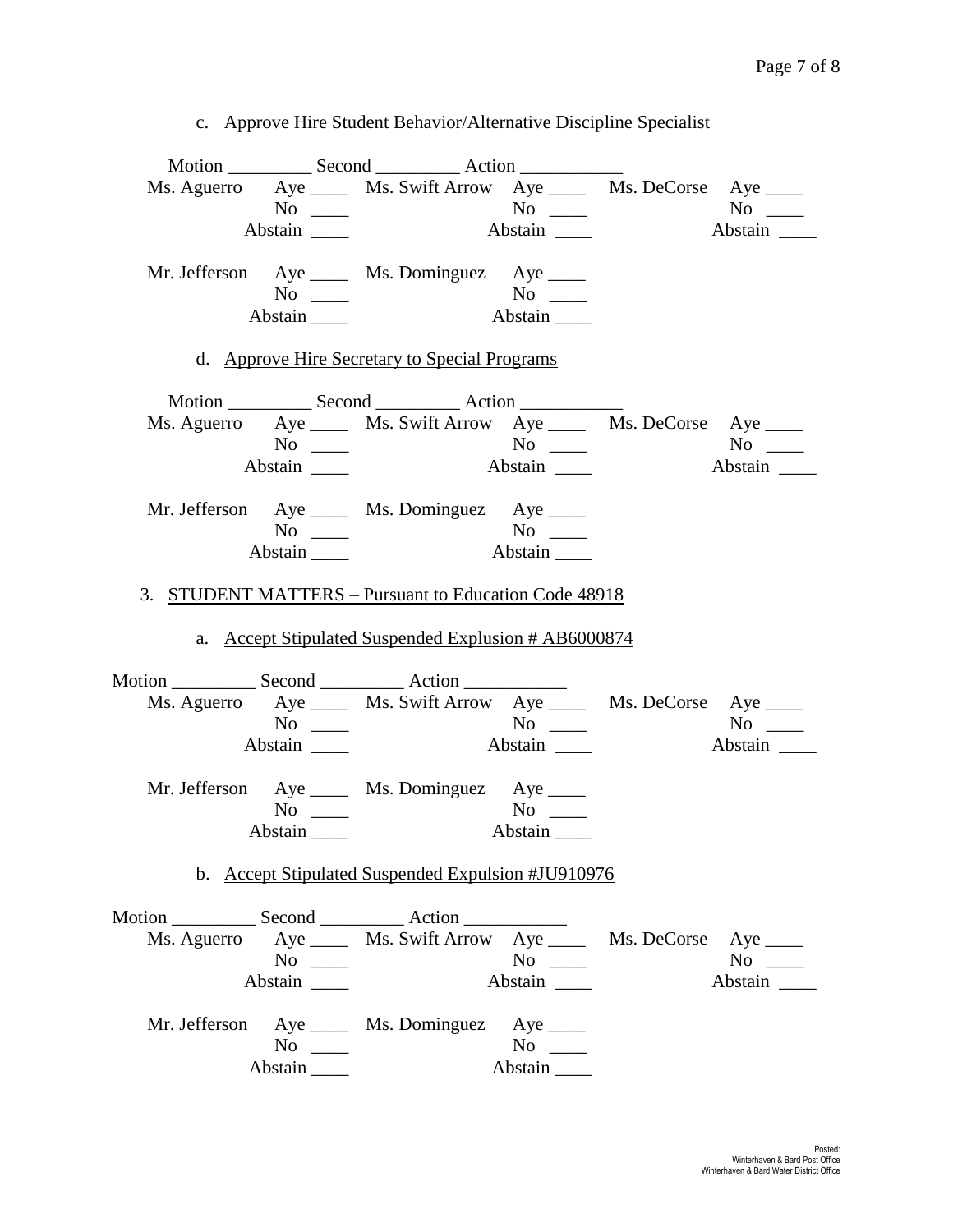c. Approve Hire Student Behavior/Alternative Discipline Specialist

|                     | Ms. Aguerro Aye ______ Ms. Swift Arrow Aye ______ Ms. DeCorse Aye _____ |           |         |
|---------------------|-------------------------------------------------------------------------|-----------|---------|
| $\overline{N_0}$    |                                                                         |           |         |
| Abstain             |                                                                         |           |         |
|                     | Mr. Jefferson Aye _____ Ms. Dominguez Aye ____                          |           |         |
| $No \ \_$           |                                                                         |           |         |
| Abstain $\_\_\_\_\$ |                                                                         |           |         |
|                     | d. Approve Hire Secretary to Special Programs                           |           |         |
|                     |                                                                         |           |         |
|                     | Ms. Aguerro Aye _____ Ms. Swift Arrow Aye _____ Ms. DeCorse Aye ____    |           |         |
|                     |                                                                         |           | $No \_$ |
| Abstain             |                                                                         |           | Abstain |
|                     | Mr. Jefferson Aye _____ Ms. Dominguez Aye ____                          |           |         |
| $No \ \_$           |                                                                         |           |         |
| Abstain             |                                                                         |           |         |
|                     | 3. STUDENT MATTERS - Pursuant to Education Code 48918                   |           |         |
|                     |                                                                         |           |         |
|                     | a. Accept Stipulated Suspended Explusion # AB6000874                    |           |         |
|                     |                                                                         |           |         |
|                     | Ms. Aguerro Aye _____ Ms. Swift Arrow Aye _____ Ms. DeCorse Aye ____    |           |         |
| $No \ \_$           |                                                                         |           |         |
| Abstain             |                                                                         |           | Abstain |
|                     | Mr. Jefferson Aye _____ Ms. Dominguez Aye _____                         |           |         |
| No $\frac{\ }{2}$   |                                                                         | $No \ \_$ |         |
| Abstain             |                                                                         |           |         |
|                     | b. Accept Stipulated Suspended Expulsion #JU910976                      |           |         |
|                     |                                                                         |           |         |
|                     | Ms. Aguerro Aye _____ Ms. Swift Arrow Aye _____ Ms. DeCorse Aye ____    |           |         |
| $No \ \_$           |                                                                         | $No \ \_$ | $No \_$ |
| Abstain             |                                                                         | Abstain   | Abstain |
|                     | Mr. Jefferson Aye ____ Ms. Dominguez Aye ____                           |           |         |
| $No \ \_$           |                                                                         | $No \ \_$ |         |
|                     |                                                                         | Abstain   |         |